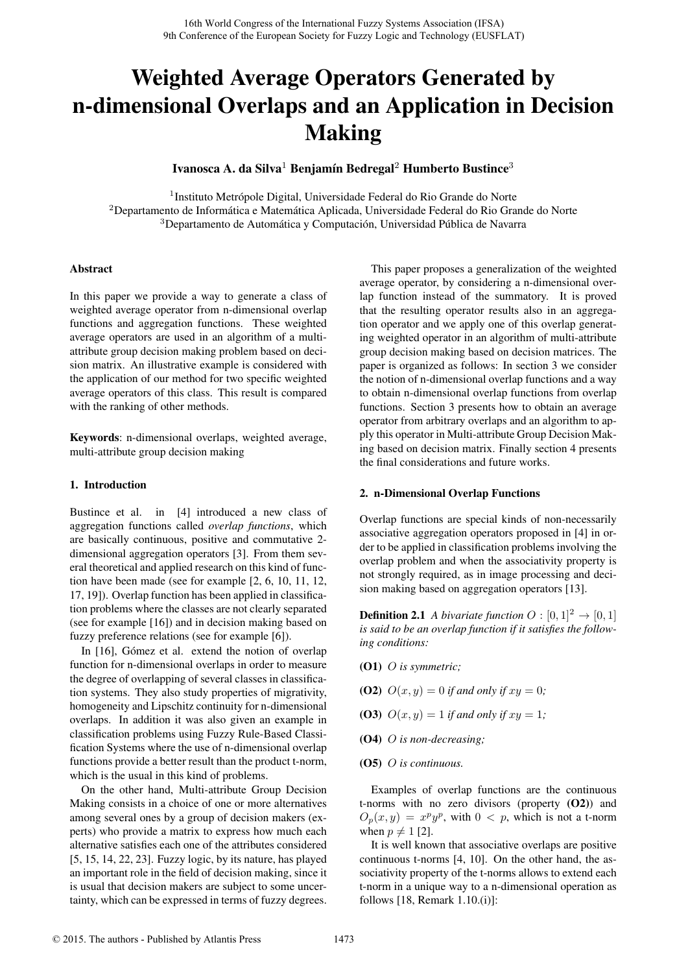# Weighted Average Operators Generated by n-dimensional Overlaps and an Application in Decision Making

Ivanosca A. da Silva<sup>1</sup> Benjamín Bedregal<sup>2</sup> Humberto Bustince<sup>3</sup>

<sup>1</sup>Instituto Metrópole Digital, Universidade Federal do Rio Grande do Norte <sup>2</sup>Departamento de Informática e Matemática Aplicada, Universidade Federal do Rio Grande do Norte <sup>3</sup>Departamento de Automática y Computación, Universidad Pública de Navarra

## Abstract

In this paper we provide a way to generate a class of weighted average operator from n-dimensional overlap functions and aggregation functions. These weighted average operators are used in an algorithm of a multiattribute group decision making problem based on decision matrix. An illustrative example is considered with the application of our method for two specific weighted average operators of this class. This result is compared with the ranking of other methods.

Keywords: n-dimensional overlaps, weighted average, multi-attribute group decision making

# 1. Introduction

Bustince et al. in [4] introduced a new class of aggregation functions called *overlap functions*, which are basically continuous, positive and commutative 2 dimensional aggregation operators [3]. From them several theoretical and applied research on this kind of function have been made (see for example [2, 6, 10, 11, 12, 17, 19]). Overlap function has been applied in classification problems where the classes are not clearly separated (see for example [16]) and in decision making based on fuzzy preference relations (see for example [6]).

In [16], Gómez et al. extend the notion of overlap function for n-dimensional overlaps in order to measure the degree of overlapping of several classes in classification systems. They also study properties of migrativity, homogeneity and Lipschitz continuity for n-dimensional overlaps. In addition it was also given an example in classification problems using Fuzzy Rule-Based Classification Systems where the use of n-dimensional overlap functions provide a better result than the product t-norm, which is the usual in this kind of problems.

On the other hand, Multi-attribute Group Decision Making consists in a choice of one or more alternatives among several ones by a group of decision makers (experts) who provide a matrix to express how much each alternative satisfies each one of the attributes considered [5, 15, 14, 22, 23]. Fuzzy logic, by its nature, has played an important role in the field of decision making, since it is usual that decision makers are subject to some uncertainty, which can be expressed in terms of fuzzy degrees.

This paper proposes a generalization of the weighted average operator, by considering a n-dimensional overlap function instead of the summatory. It is proved that the resulting operator results also in an aggregation operator and we apply one of this overlap generating weighted operator in an algorithm of multi-attribute group decision making based on decision matrices. The paper is organized as follows: In section 3 we consider the notion of n-dimensional overlap functions and a way to obtain n-dimensional overlap functions from overlap functions. Section 3 presents how to obtain an average operator from arbitrary overlaps and an algorithm to apply this operator in Multi-attribute Group Decision Making based on decision matrix. Finally section 4 presents the final considerations and future works.

## 2. n-Dimensional Overlap Functions

Overlap functions are special kinds of non-necessarily associative aggregation operators proposed in [4] in order to be applied in classification problems involving the overlap problem and when the associativity property is not strongly required, as in image processing and decision making based on aggregation operators [13].

**Definition 2.1** *A bivariate function*  $O : [0, 1]^2 \rightarrow [0, 1]$ *is said to be an overlap function if it satisfies the following conditions:*

- (O1) *O is symmetric;*
- **(O2)**  $O(x, y) = 0$  *if and only if*  $xy = 0$ ;
- **(O3)**  $O(x, y) = 1$  *if and only if*  $xy = 1$ ;
- (O4) *O is non-decreasing;*
- (O5) *O is continuous.*

Examples of overlap functions are the continuous t-norms with no zero divisors (property  $(O2)$ ) and  $O_p(x, y) = x^p y^p$ , with  $0 < p$ , which is not a t-norm when  $p \neq 1$  [2].

It is well known that associative overlaps are positive continuous t-norms [4, 10]. On the other hand, the associativity property of the t-norms allows to extend each t-norm in a unique way to a n-dimensional operation as follows [18, Remark 1.10.(i)]: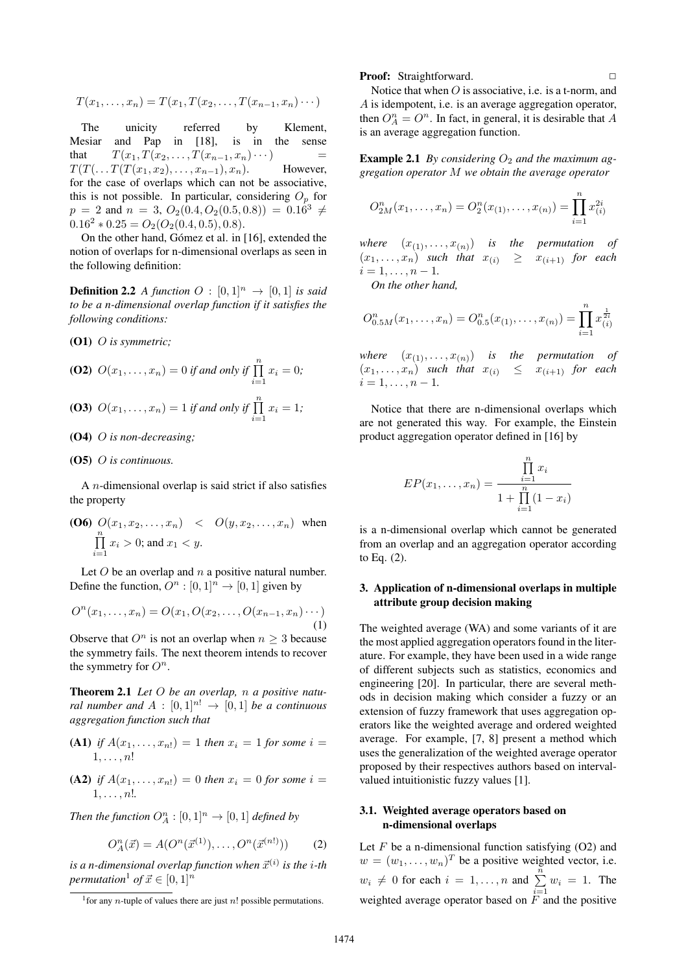$$
T(x_1,...,x_n) = T(x_1, T(x_2,...,T(x_{n-1},x_n)\cdots))
$$

The unicity referred by Klement, Mesiar and Pap in [18], is in the sense that  $T(x_1, T(x_2, \ldots, T(x_{n-1}, x_n) \cdots)$  $T(T(\ldots T(T(x_1, x_2), \ldots, x_{n-1}), x_n)$ . However, for the case of overlaps which can not be associative, this is not possible. In particular, considering  $O_p$  for  $p = 2$  and  $n = 3$ ,  $O_2(0.4, O_2(0.5, 0.8)) = 0.16^3 \neq$  $0.16^2 * 0.25 = O_2(O_2(0.4, 0.5), 0.8).$ 

On the other hand, Gómez et al. in [16], extended the notion of overlaps for n-dimensional overlaps as seen in the following definition:

**Definition 2.2** *A function*  $O : [0,1]^n \rightarrow [0,1]$  *is said to be a n-dimensional overlap function if it satisfies the following conditions:*

(O1) *O is symmetric;*

**(O2)** 
$$
O(x_1,...,x_n) = 0
$$
 if and only if  $\prod_{i=1}^{n} x_i = 0$ ;

**(O3)** 
$$
O(x_1,...,x_n) = 1
$$
 if and only if  $\prod_{i=1}^{n} x_i = 1$ ;

(O4) *O is non-decreasing;*

## (O5) *O is continuous.*

A *n*-dimensional overlap is said strict if also satisfies the property

**(O6)** 
$$
O(x_1, x_2, ..., x_n) < O(y, x_2, ..., x_n)
$$
 when  $\prod_{i=1}^{n} x_i > 0$ ; and  $x_1 < y$ .

Let *O* be an overlap and *n* a positive natural number. Define the function,  $O^n : [0,1]^n \to [0,1]$  given by

$$
O^{n}(x_{1},...,x_{n}) = O(x_{1}, O(x_{2},...,O(x_{n-1},x_{n})...))
$$
\n(1)

Observe that  $O<sup>n</sup>$  is not an overlap when  $n \geq 3$  because the symmetry fails. The next theorem intends to recover the symmetry for  $O<sup>n</sup>$ .

Theorem 2.1 *Let O be an overlap, n a positive natural number and*  $A : [0,1]^{n!} \rightarrow [0,1]$  *be a continuous aggregation function such that*

(A1) *if*  $A(x_1, ..., x_n) = 1$  *then*  $x_i = 1$  *for some*  $i =$ 1*, . . . , n*!

**(A2)** if 
$$
A(x_1,...,x_n) = 0
$$
 then  $x_i = 0$  for some  $i = 1,...,n!$ .

*Then the function*  $O_A^n : [0,1]^n \to [0,1]$  *defined by* 

$$
O_A^n(\vec{x}) = A(O^n(\vec{x}^{(1)}), \dots, O^n(\vec{x}^{(n!)}))
$$
 (2)

is a n-dimensional overlap function when  $\vec{x}^{(i)}$  is the *i*-th *permutation*<sup>1</sup> *of*  $\vec{x} \in [0,1]^n$ 

### Proof: Straightforward.

Notice that when *O* is associative, i.e. is a t-norm, and *A* is idempotent, i.e. is an average aggregation operator, then  $O_A^n = O^n$ . In fact, in general, it is desirable that *A* is an average aggregation function.

**Example 2.1** *By considering*  $O_2$  *and the maximum aggregation operator M we obtain the average operator*

$$
O_{2M}^n(x_1,\ldots,x_n) = O_2^n(x_{(1)},\ldots,x_{(n)}) = \prod_{i=1}^n x_{(i)}^{2i}
$$

*where*  $(x_{(1)},...,x_{(n)})$  *is the permutation of*  $(x_1, \ldots, x_n)$  *such that*  $x_{(i)} \geq x_{(i+1)}$  *for each*  $i = 1, \ldots, n - 1$ .

*On the other hand,*

$$
O_{0.5M}^n(x_1,\ldots,x_n) = O_{0.5}^n(x_{(1)},\ldots,x_{(n)}) = \prod_{i=1}^n x_{(i)}^{\frac{1}{2i}}
$$

*where*  $(x_{(1)},...,x_{(n)})$  *is the permutation of*  $(x_1, \ldots, x_n)$  *such that*  $x_{(i)} \leq x_{(i+1)}$  *for each*  $i = 1, \ldots, n - 1$ .

Notice that there are n-dimensional overlaps which are not generated this way. For example, the Einstein product aggregation operator defined in [16] by

$$
EP(x_1,...,x_n) = \frac{\prod_{i=1}^{n} x_i}{1 + \prod_{i=1}^{n} (1 - x_i)}
$$

is a n-dimensional overlap which cannot be generated from an overlap and an aggregation operator according to Eq. (2).

# 3. Application of n-dimensional overlaps in multiple attribute group decision making

The weighted average (WA) and some variants of it are the most applied aggregation operators found in the literature. For example, they have been used in a wide range of different subjects such as statistics, economics and engineering [20]. In particular, there are several methods in decision making which consider a fuzzy or an extension of fuzzy framework that uses aggregation operators like the weighted average and ordered weighted average. For example, [7, 8] present a method which uses the generalization of the weighted average operator proposed by their respectives authors based on intervalvalued intuitionistic fuzzy values [1].

# 3.1. Weighted average operators based on n-dimensional overlaps

Let  $F$  be a n-dimensional function satisfying  $(O2)$  and  $w = (w_1, \ldots, w_n)^T$  be a positive weighted vector, i.e.  $w_i \neq 0$  for each  $i = 1, ..., n$  and  $\sum_{i=1}^{n} w_i = 1$ . The weighted average operator based on *F* and the positive

<sup>&</sup>lt;sup>1</sup> for any *n*-tuple of values there are just *n*! possible permutations.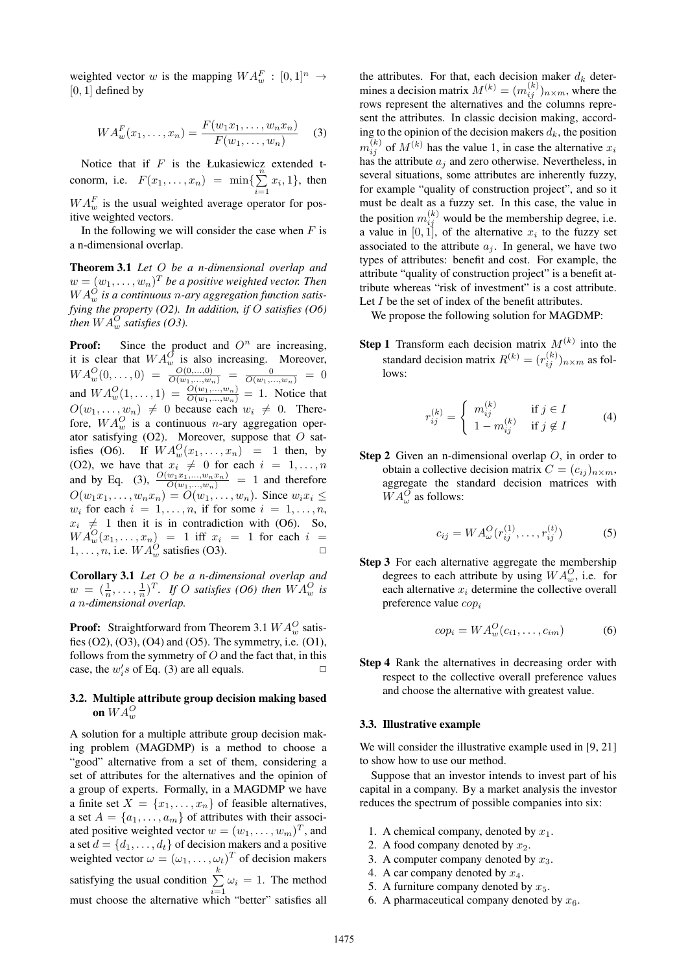weighted vector *w* is the mapping  $WA_w^F : [0,1]^n \rightarrow$  $[0, 1]$  defined by

$$
WA_w^F(x_1,...,x_n) = \frac{F(w_1x_1,...,w_nx_n)}{F(w_1,...,w_n)}
$$
 (3)

Notice that if *F* is the Łukasiewicz extended tconorm, i.e.  $F(x_1, ..., x_n) = \min\{\sum_{i=1}^{n} P_i(x_i, ..., x_n)\}$  $\sum_{i=1}^{\infty} x_i, 1$ , then  $WA_w^F$  is the usual weighted average operator for positive weighted vectors.

In the following we will consider the case when *F* is a n-dimensional overlap.

Theorem 3.1 *Let O be a n-dimensional overlap and*  $w = (w_1, \ldots, w_n)^T$  *be a positive weighted vector. Then*  $WA_w^O$  *is a continuous n*-*ary aggregation function satisfying the property (O2). In addition, if O satisfies (O6) then*  $WA_w^O$  *satisfies* (O3).

**Proof:** Since the product and  $O<sup>n</sup>$  are increasing, it is clear that  $WA_w^{\overline{O}}$  is also increasing. Moreover,  $WA_w^O(0, \ldots, 0) = \frac{O(0, \ldots, 0)}{O(w_1, \ldots, w_n)} = \frac{0}{O(w_1, \ldots, w_n)} = 0$ and  $WA_w^O(1, ..., 1) = \frac{O(w_1, ..., w_n)}{O(w_1, ..., w_n)} = 1$ . Notice that  $O(w_1, \ldots, w_n) \neq 0$  because each  $w_i \neq 0$ . Therefore,  $WA_w^O$  is a continuous *n*-ary aggregation operator satisfying (O2). Moreover, suppose that *O* satisfies (O6). If  $WA_w^O(x_1, \ldots, x_n) = 1$  then, by (O2), we have that  $x_i \neq 0$  for each  $i = 1, \ldots, n$ and by Eq. (3),  $\frac{O(w_1 x_1,...,w_n x_n)}{O(w_1,...,w_n)} = 1$  and therefore  $O(w_1x_1, \ldots, w_nx_n) = O(w_1, \ldots, w_n)$ . Since  $w_ix_i \leq$  $w_i$  for each  $i = 1, \ldots, n$ , if for some  $i = 1, \ldots, n$ ,  $x_i \neq 1$  then it is in contradiction with (O6). So,  $WA_w^Q(x_1, \ldots, x_n) = 1$  iff  $x_i = 1$  for each  $i =$ 1, . . . , *n*, i.e.  $WA_w^O$  satisfies (O3).

Corollary 3.1 *Let O be a n-dimensional overlap and*  $w = (\frac{1}{n}, \dots, \frac{1}{n})^T$ . *If O satisfies* (*O6*) then  $WA_w^O$  *is a n-dimensional overlap.*

**Proof:** Straightforward from Theorem 3.1  $WA_w^O$  satisfies  $(O2)$ ,  $(O3)$ ,  $(O4)$  and  $(O5)$ . The symmetry, i.e.  $(O1)$ , follows from the symmetry of *O* and the fact that, in this case, the  $w_i$ 's of Eq. (3) are all equals.  $\square$ 

# 3.2. Multiple attribute group decision making based on  $W\overline{A^O_w}$

A solution for a multiple attribute group decision making problem (MAGDMP) is a method to choose a "good" alternative from a set of them, considering a set of attributes for the alternatives and the opinion of a group of experts. Formally, in a MAGDMP we have a finite set  $X = \{x_1, \ldots, x_n\}$  of feasible alternatives, a set  $A = \{a_1, \ldots, a_m\}$  of attributes with their associated positive weighted vector  $w = (w_1, \dots, w_m)^T$ , and a set  $d = \{d_1, \ldots, d_t\}$  of decision makers and a positive weighted vector  $\omega = (\omega_1, \dots, \omega_t)^T$  of decision makers satisfying the usual condition  $\sum_{k=1}^{k}$  $\sum_{i=1} \omega_i = 1$ . The method must choose the alternative which "better" satisfies all

the attributes. For that, each decision maker  $d_k$  determines a decision matrix  $M^{(k)} = (m_{ij}^{(k)})_{n \times m}$ , where the rows represent the alternatives and the columns represent the attributes. In classic decision making, according to the opinion of the decision makers  $d_k$ , the position  $m_{ij}^{(k)}$  of  $M^{(k)}$  has the value 1, in case the alternative  $x_i$ has the attribute *a<sup>j</sup>* and zero otherwise. Nevertheless, in several situations, some attributes are inherently fuzzy, for example "quality of construction project", and so it must be dealt as a fuzzy set. In this case, the value in the position  $m_{ij}^{(k)}$  would be the membership degree, i.e. a value in  $[0, 1]$ , of the alternative  $x_i$  to the fuzzy set associated to the attribute  $a_j$ . In general, we have two types of attributes: benefit and cost. For example, the attribute "quality of construction project" is a benefit attribute whereas "risk of investment" is a cost attribute. Let *I* be the set of index of the benefit attributes.

We propose the following solution for MAGDMP:

**Step 1** Transform each decision matrix  $M^{(k)}$  into the standard decision matrix  $R^{(k)} = (r_{ij}^{(k)})_{n \times m}$  as follows:

$$
r_{ij}^{(k)} = \begin{cases} m_{ij}^{(k)} & \text{if } j \in I \\ 1 - m_{ij}^{(k)} & \text{if } j \notin I \end{cases}
$$
 (4)

Step 2 Given an n-dimensional overlap *O*, in order to obtain a collective decision matrix  $C = (c_{ij})_{n \times m}$ , aggregate the standard decision matrices with  $WA^{\overline{O}}_{\omega}$  as follows:

$$
c_{ij} = W A_{\omega}^{O}(r_{ij}^{(1)}, \dots, r_{ij}^{(t)})
$$
 (5)

Step 3 For each alternative aggregate the membership degrees to each attribute by using  $WA_w^O$ , i.e. for each alternative *x<sup>i</sup>* determine the collective overall preference value *cop<sup>i</sup>*

$$
cop_i = WA_w^O(c_{i1}, \dots, c_{im})
$$
 (6)

Step 4 Rank the alternatives in decreasing order with respect to the collective overall preference values and choose the alternative with greatest value.

### 3.3. Illustrative example

We will consider the illustrative example used in [9, 21] to show how to use our method.

Suppose that an investor intends to invest part of his capital in a company. By a market analysis the investor reduces the spectrum of possible companies into six:

- 1. A chemical company, denoted by  $x_1$ .
- 2. A food company denoted by  $x_2$ .
- 3. A computer company denoted by *x*3.
- 4. A car company denoted by *x*4.
- 5. A furniture company denoted by  $x_5$ .
- 6. A pharmaceutical company denoted by  $x_6$ .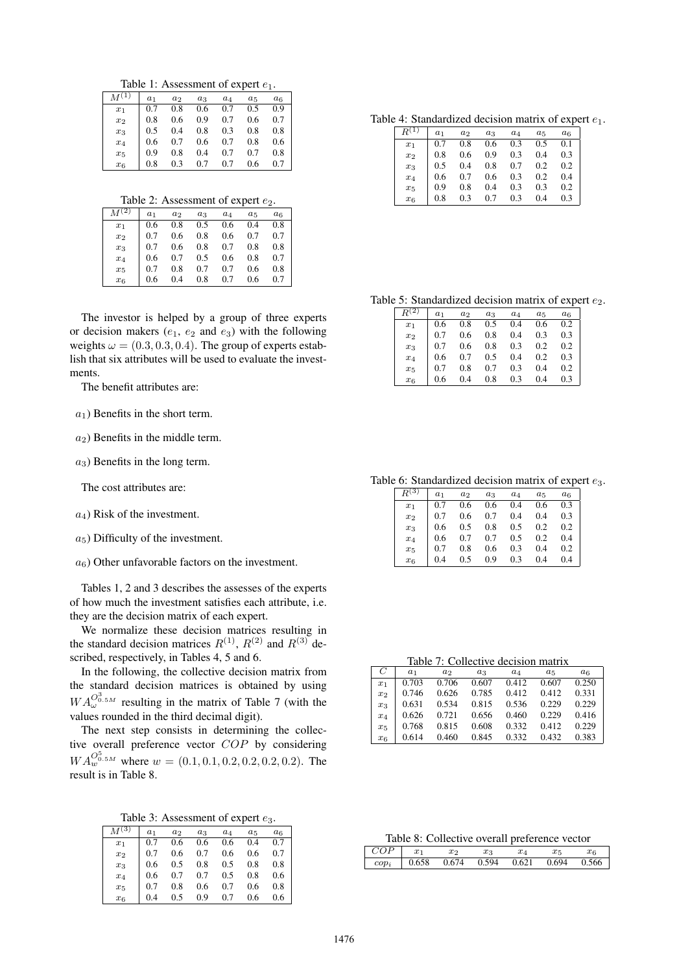Table 1: Assessment of expert  $e_1$ .

|         | $a_1$ | $a_2$ | $a_3$ | $a_4$ | $a_5$ | $a_6$ |
|---------|-------|-------|-------|-------|-------|-------|
| $x_1$   | 0.7   | 0.8   | 0.6   | 0.7   | 0.5   | 0.9   |
| $x_2$   | 0.8   | 0.6   | 0.9   | 0.7   | 0.6   | 0.7   |
| $x_3$   | 0.5   | 0.4   | 0.8   | 0.3   | 0.8   | 0.8   |
| $x_4$   | 0.6   | 0.7   | 0.6   | 0.7   | 0.8   | 0.6   |
| $x_{5}$ | 0.9   | 0.8   | 0.4   | 0.7   | 0.7   | 0.8   |
| $x_6$   | 0.8   | 0.3   | 0.7   | 0.7   | 0.6   | 0.7   |

Table 2: Assessment of expert  $e_2$ .

| $M^{(2)}$ | $a_1$ | a <sub>2</sub> | $a_3$ | $a_4$ | $a_5$ | $a_6$ |
|-----------|-------|----------------|-------|-------|-------|-------|
| $x_1$     | 0.6   | 0.8            | 0.5   | 0.6   | 0.4   | 0.8   |
| $x_2$     | 0.7   | 0.6            | 0.8   | 0.6   | 0.7   | 0.7   |
| $x_3$     | 0.7   | 0.6            | 0.8   | 0.7   | 0.8   | 0.8   |
| $x_4$     | 0.6   | 0.7            | 0.5   | 0.6   | 0.8   | 0.7   |
| $x_5$     | 0.7   | 0.8            | 0.7   | 0.7   | 0.6   | 0.8   |
| $x_6$     | 0.6   | 0.4            | 0.8   | 0.7   | 0.6   | 0.7   |

The investor is helped by a group of three experts or decision makers  $(e_1, e_2 \text{ and } e_3)$  with the following weights  $\omega = (0.3, 0.3, 0.4)$ . The group of experts establish that six attributes will be used to evaluate the investments.

The benefit attributes are:

 $a_1$ ) Benefits in the short term.

 $a_2$ ) Benefits in the middle term.

*a*3) Benefits in the long term.

The cost attributes are:

*a*4) Risk of the investment.

*a*5) Difficulty of the investment.

 $a_6$ ) Other unfavorable factors on the investment.

Tables 1, 2 and 3 describes the assesses of the experts of how much the investment satisfies each attribute, i.e. they are the decision matrix of each expert.

We normalize these decision matrices resulting in the standard decision matrices  $R^{(1)}$ ,  $R^{(2)}$  and  $R^{(3)}$  described, respectively, in Tables 4, 5 and 6.

In the following, the collective decision matrix from the standard decision matrices is obtained by using  $WA_{\omega}^{O_{0.5M}^3}$  resulting in the matrix of Table 7 (with the values rounded in the third decimal digit).

The next step consists in determining the collective overall preference vector *COP* by considering  $WA_w^{O_{0.5M}^5}$  where  $w = (0.1, 0.1, 0.2, 0.2, 0.2, 0.2)$ . The result is in Table 8.

Table 3: Assessment of expert *e*3.

| $M^{(3)}$ | $a_1$ | $a_2$ | $a_3$ | $a_4$ | $a_5$ | $a_6$ |
|-----------|-------|-------|-------|-------|-------|-------|
| $x_1$     | 0.7   | 0.6   | 0.6   | 0.6   | 0.4   | 0.7   |
| $x_2$     | 0.7   | 0.6   | 0.7   | 0.6   | 0.6   | 0.7   |
| $x_3$     | 0.6   | 0.5   | 0.8   | 0.5   | 0.8   | 0.8   |
| $x_4$     | 0.6   | 0.7   | 0.7   | 0.5   | 0.8   | 0.6   |
| $x_5$     | 0.7   | 0.8   | 0.6   | 0.7   | 0.6   | 0.8   |
| $x_6$     | 0.4   |       | 0.9   | 0.7   | 0.6   | 0.6   |

Table 4: Standardized decision matrix of expert *e*1.

|       | a <sub>1</sub> | $a_2$ | $a_3$ | $a_4$ | $a_5$ | $a_6$ |
|-------|----------------|-------|-------|-------|-------|-------|
| $x_1$ | 0.7            | 0.8   | 0.6   | 0.3   | 0.5   | 0.1   |
| $x_2$ | 0.8            | 0.6   | 0.9   | 0.3   | 0.4   | 0.3   |
| $x_3$ | 0.5            | 0.4   | 0.8   | 0.7   | 0.2   | 0.2   |
| $x_4$ | 0.6            | 0.7   | 0.6   | 0.3   | 0.2   | 0.4   |
| $x_5$ | 0.9            | 0.8   | 0.4   | 0.3   | 0.3   | 0.2   |
| $x_6$ | 0.8            | 0.3   | 0.7   | 0.3   | 0.4   | 0.3   |

Table 5: Standardized decision matrix of expert  $e_2$ .

| $\overline{2})$ | a <sub>1</sub> | a <sub>2</sub> | $a_3$ | $a_4$ | $a_5$ | $a_6$ |
|-----------------|----------------|----------------|-------|-------|-------|-------|
| $x_1$           | 0.6            | 0.8            | 0.5   | 0.4   | 0.6   | 0.2   |
| $x_2$           | 0.7            | 0.6            | 0.8   | 0.4   | 0.3   | 0.3   |
| $x_3$           | 0.7            | 0.6            | 0.8   | 0.3   | 0.2   | 0.2   |
| $x_4$           | 0.6            | 0.7            | 0.5   | 0.4   | 0.2   | 0.3   |
| $x_5$           | 0.7            | 0.8            | 0.7   | 0.3   | 0.4   | 0.2   |
| $x_6$           | 0.6            | 0.4            | 0.8   | 0.3   | 0.4   | 0.3   |

Table 6: Standardized decision matrix of expert *e*3.

| 3)    | a <sub>1</sub> | a <sub>2</sub> | $a_3$ | $a_4$ | $a_5$ | $a_6$ |
|-------|----------------|----------------|-------|-------|-------|-------|
| $x_1$ | 0.7            | 0.6            | 0.6   | 0.4   | 0.6   | 0.3   |
| $x_2$ | 0.7            | 0.6            | 0.7   | 0.4   | 0.4   | 0.3   |
| $x_3$ | 0.6            | 0.5            | 0.8   | 0.5   | 0.2   | 0.2   |
| $x_4$ | 0.6            | 0.7            | 0.7   | 0.5   | 0.2   | 0.4   |
| $x_5$ | 0.7            | 0.8            | 0.6   | 0.3   | 0.4   | 0.2   |
| $x_6$ | 0.4            | 0.5            | 0.9   | 0.3   | 0.4   | 0.4   |

Table 7: Collective decision matrix

|                |                | Table 7. Conceuve decision matrix |       |          |       |                |
|----------------|----------------|-----------------------------------|-------|----------|-------|----------------|
| $\overline{C}$ | a <sub>1</sub> | a <sub>2</sub>                    | $a_3$ | $^{a_4}$ | $a_5$ | a <sub>6</sub> |
| $x_1$          | 0.703          | 0.706                             | 0.607 | 0.412    | 0.607 | 0.250          |
| x <sub>2</sub> | 0.746          | 0.626                             | 0.785 | 0.412    | 0.412 | 0.331          |
| $x_3$          | 0.631          | 0.534                             | 0.815 | 0.536    | 0.229 | 0.229          |
| $x_4$          | 0.626          | 0.721                             | 0.656 | 0.460    | 0.229 | 0.416          |
| $x_{5}$        | 0.768          | 0.815                             | 0.608 | 0.332    | 0.412 | 0.229          |
| $x_6$          | 0.614          | 0.460                             | 0.845 | 0.332    | 0.432 | 0.383          |

Table 8: Collective overall preference vector

| $\overline{COP}$ | $x_1$ | $x_2$ | $x_3$ | $x_4$ |                               | $x_{6}$ |
|------------------|-------|-------|-------|-------|-------------------------------|---------|
| $cop_i$          | 0.658 |       |       |       | 0.674 0.594 0.621 0.694 0.566 |         |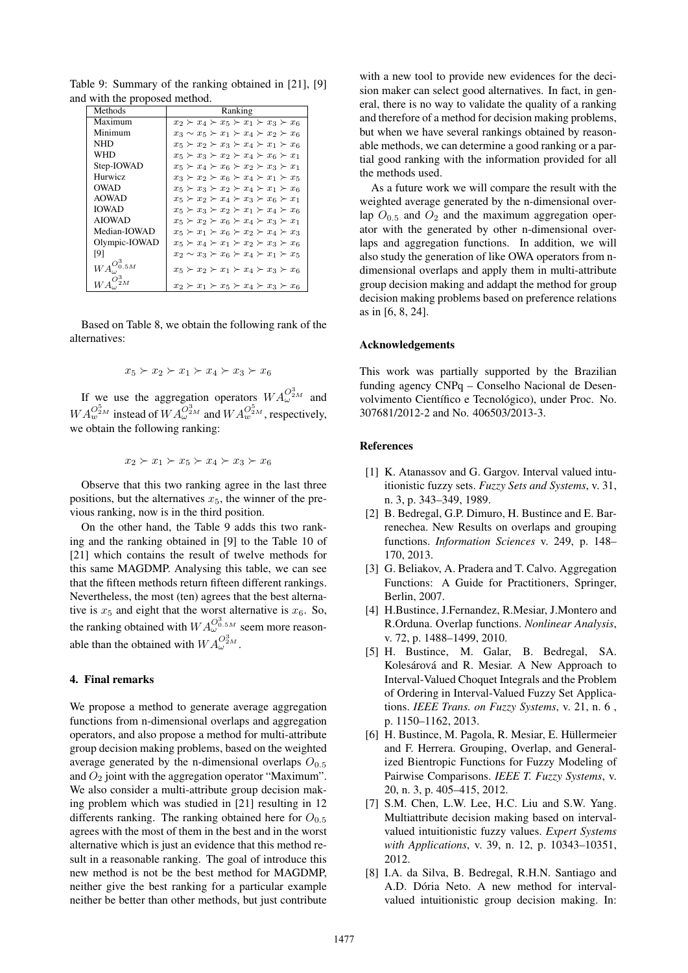| Methods                                                | <b>Ranking</b>                                          |
|--------------------------------------------------------|---------------------------------------------------------|
| Maximum                                                | $x_2 \succ x_4 \succ x_5 \succ x_1 \succ x_3 \succ x_6$ |
| Minimum                                                | $x_3 \sim x_5 \succ x_1 \succ x_4 \succ x_2 \succ x_6$  |
| NHD                                                    | $x_5 \succ x_2 \succ x_3 \succ x_4 \succ x_1 \succ x_6$ |
| WHD                                                    | $x_5 \succ x_3 \succ x_2 \succ x_4 \succ x_6 \succ x_1$ |
| Step-IOWAD                                             | $x_5 \succ x_4 \succ x_6 \succ x_2 \succ x_3 \succ x_1$ |
| <b>Hurwicz</b>                                         | $x_3 \succ x_2 \succ x_6 \succ x_4 \succ x_1 \succ x_5$ |
| <b>OWAD</b>                                            | $x_5 \succ x_3 \succ x_2 \succ x_4 \succ x_1 \succ x_6$ |
| <b>AOWAD</b>                                           | $x_5 \succ x_2 \succ x_4 \succ x_3 \succ x_6 \succ x_1$ |
| <b>IOWAD</b>                                           | $x_5 \succ x_3 \succ x_2 \succ x_1 \succ x_4 \succ x_6$ |
| <b>AIOWAD</b>                                          | $x_5 \succ x_2 \succ x_6 \succ x_4 \succ x_3 \succ x_1$ |
| Median-IOWAD                                           | $x_5 \succ x_1 \succ x_6 \succ x_2 \succ x_4 \succ x_3$ |
| Olympic-IOWAD                                          | $x_5 \succ x_4 \succ x_1 \succ x_2 \succ x_3 \succ x_6$ |
| [9]                                                    | $x_2 \sim x_3 \succ x_6 \succ x_4 \succ x_1 \succ x_5$  |
| ${W}A_{\boldsymbol{\omega}}^{\boldsymbol{O}^3_{0.5M}}$ | $x_5 \succ x_2 \succ x_1 \succ x_4 \succ x_3 \succ x_6$ |
|                                                        | $x_2 \succ x_1 \succ x_5 \succ x_4 \succ x_3 \succ x_6$ |

Table 9: Summary of the ranking obtained in [21], [9] and with the proposed method.

Based on Table 8, we obtain the following rank of the alternatives:

$$
x_5 \succ x_2 \succ x_1 \succ x_4 \succ x_3 \succ x_6
$$

If we use the aggregation operators  $WA_{\omega}^{O_{2M}^3}$  and  $WA_w^{O_{2M}^5}$  instead of  $WA_w^{O_{2M}^3}$  and  $WA_w^{O_{2M}^5}$ , respectively, we obtain the following ranking:

$$
x_2 \succ x_1 \succ x_5 \succ x_4 \succ x_3 \succ x_6
$$

Observe that this two ranking agree in the last three positions, but the alternatives  $x_5$ , the winner of the previous ranking, now is in the third position.

On the other hand, the Table 9 adds this two ranking and the ranking obtained in [9] to the Table 10 of [21] which contains the result of twelve methods for this same MAGDMP. Analysing this table, we can see that the fifteen methods return fifteen different rankings. Nevertheless, the most (ten) agrees that the best alternative is  $x_5$  and eight that the worst alternative is  $x_6$ . So, the ranking obtained with  $WA_{\omega}^{O_{0.5M}^3}$  seem more reasonable than the obtained with  $WA_{\omega}^{O_{2M}^3}$ .

### 4. Final remarks

We propose a method to generate average aggregation functions from n-dimensional overlaps and aggregation operators, and also propose a method for multi-attribute group decision making problems, based on the weighted average generated by the n-dimensional overlaps  $O_{0.5}$ and *O*<sup>2</sup> joint with the aggregation operator "Maximum". We also consider a multi-attribute group decision making problem which was studied in [21] resulting in 12 differents ranking. The ranking obtained here for  $O_{0.5}$ agrees with the most of them in the best and in the worst alternative which is just an evidence that this method result in a reasonable ranking. The goal of introduce this new method is not be the best method for MAGDMP, neither give the best ranking for a particular example neither be better than other methods, but just contribute with a new tool to provide new evidences for the decision maker can select good alternatives. In fact, in general, there is no way to validate the quality of a ranking and therefore of a method for decision making problems, but when we have several rankings obtained by reasonable methods, we can determine a good ranking or a partial good ranking with the information provided for all the methods used.

As a future work we will compare the result with the weighted average generated by the n-dimensional overlap  $O_{0.5}$  and  $O_2$  and the maximum aggregation operator with the generated by other n-dimensional overlaps and aggregation functions. In addition, we will also study the generation of like OWA operators from ndimensional overlaps and apply them in multi-attribute group decision making and addapt the method for group decision making problems based on preference relations as in [6, 8, 24].

## Acknowledgements

This work was partially supported by the Brazilian funding agency CNPq – Conselho Nacional de Desenvolvimento Científico e Tecnológico), under Proc. No. 307681/2012-2 and No. 406503/2013-3.

## References

- [1] K. Atanassov and G. Gargov. Interval valued intuitionistic fuzzy sets. *Fuzzy Sets and Systems*, v. 31, n. 3, p. 343–349, 1989.
- [2] B. Bedregal, G.P. Dimuro, H. Bustince and E. Barrenechea. New Results on overlaps and grouping functions. *Information Sciences* v. 249, p. 148– 170, 2013.
- [3] G. Beliakov, A. Pradera and T. Calvo. Aggregation Functions: A Guide for Practitioners, Springer, Berlin, 2007.
- [4] H.Bustince, J.Fernandez, R.Mesiar, J.Montero and R.Orduna. Overlap functions. *Nonlinear Analysis*, v. 72, p. 1488–1499, 2010.
- [5] H. Bustince, M. Galar, B. Bedregal, SA. Kolesárová and R. Mesiar. A New Approach to Interval-Valued Choquet Integrals and the Problem of Ordering in Interval-Valued Fuzzy Set Applications. *IEEE Trans. on Fuzzy Systems*, v. 21, n. 6 , p. 1150–1162, 2013.
- [6] H. Bustince, M. Pagola, R. Mesiar, E. Hüllermeier and F. Herrera. Grouping, Overlap, and Generalized Bientropic Functions for Fuzzy Modeling of Pairwise Comparisons. *IEEE T. Fuzzy Systems*, v. 20, n. 3, p. 405–415, 2012.
- [7] S.M. Chen, L.W. Lee, H.C. Liu and S.W. Yang. Multiattribute decision making based on intervalvalued intuitionistic fuzzy values. *Expert Systems with Applications*, v. 39, n. 12, p. 10343–10351, 2012.
- [8] I.A. da Silva, B. Bedregal, R.H.N. Santiago and A.D. Dória Neto. A new method for intervalvalued intuitionistic group decision making. In: